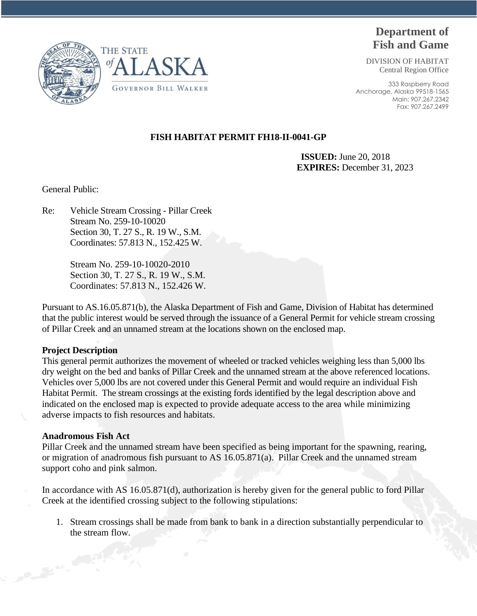

DIVISION OF HABITAT Central Region Office

333 Raspberry Road Anchorage, Alaska 99518-1565 Main: 907.267.2342 Fax: 907.267.2499





# **FISH HABITAT PERMIT FH18-II-0041-GP**

 **ISSUED:** June 20, 2018 **EXPIRES:** December 31, 2023

General Public:

Re: Vehicle Stream Crossing - Pillar Creek Stream No. 259-10-10020 Section 30, T. 27 S., R. 19 W., S.M. Coordinates: 57.813 N., 152.425 W.

> Stream No. 259-10-10020-2010 Section 30, T. 27 S., R. 19 W., S.M. Coordinates: 57.813 N., 152.426 W.

Pursuant to AS.16.05.871(b), the Alaska Department of Fish and Game, Division of Habitat has determined that the public interest would be served through the issuance of a General Permit for vehicle stream crossing of Pillar Creek and an unnamed stream at the locations shown on the enclosed map.

### **Project Description**

This general permit authorizes the movement of wheeled or tracked vehicles weighing less than 5,000 lbs dry weight on the bed and banks of Pillar Creek and the unnamed stream at the above referenced locations. Vehicles over 5,000 lbs are not covered under this General Permit and would require an individual Fish Habitat Permit. The stream crossings at the existing fords identified by the legal description above and indicated on the enclosed map is expected to provide adequate access to the area while minimizing adverse impacts to fish resources and habitats.

# **Anadromous Fish Act**

Pillar Creek and the unnamed stream have been specified as being important for the spawning, rearing, or migration of anadromous fish pursuant to AS 16.05.871(a). Pillar Creek and the unnamed stream support coho and pink salmon.

In accordance with AS 16.05.871(d), authorization is hereby given for the general public to ford Pillar Creek at the identified crossing subject to the following stipulations:

1. Stream crossings shall be made from bank to bank in a direction substantially perpendicular to the stream flow.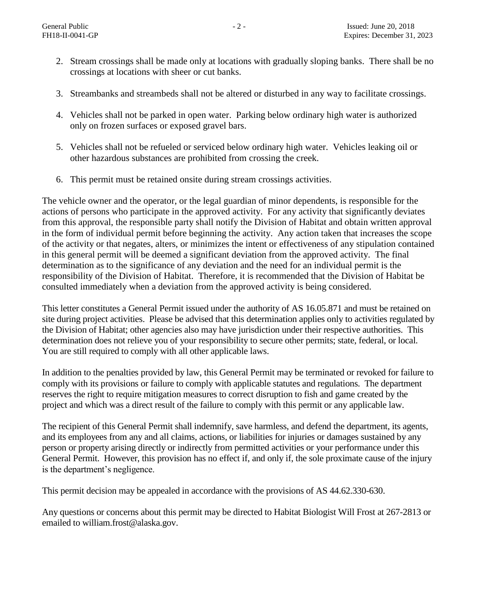- 2. Stream crossings shall be made only at locations with gradually sloping banks. There shall be no crossings at locations with sheer or cut banks.
- 3. Streambanks and streambeds shall not be altered or disturbed in any way to facilitate crossings.
- 4. Vehicles shall not be parked in open water. Parking below ordinary high water is authorized only on frozen surfaces or exposed gravel bars.
- 5. Vehicles shall not be refueled or serviced below ordinary high water. Vehicles leaking oil or other hazardous substances are prohibited from crossing the creek.
- 6. This permit must be retained onsite during stream crossings activities.

The vehicle owner and the operator, or the legal guardian of minor dependents, is responsible for the actions of persons who participate in the approved activity. For any activity that significantly deviates from this approval, the responsible party shall notify the Division of Habitat and obtain written approval in the form of individual permit before beginning the activity. Any action taken that increases the scope of the activity or that negates, alters, or minimizes the intent or effectiveness of any stipulation contained in this general permit will be deemed a significant deviation from the approved activity. The final determination as to the significance of any deviation and the need for an individual permit is the responsibility of the Division of Habitat. Therefore, it is recommended that the Division of Habitat be consulted immediately when a deviation from the approved activity is being considered.

This letter constitutes a General Permit issued under the authority of AS 16.05.871 and must be retained on site during project activities. Please be advised that this determination applies only to activities regulated by the Division of Habitat; other agencies also may have jurisdiction under their respective authorities. This determination does not relieve you of your responsibility to secure other permits; state, federal, or local. You are still required to comply with all other applicable laws.

In addition to the penalties provided by law, this General Permit may be terminated or revoked for failure to comply with its provisions or failure to comply with applicable statutes and regulations. The department reserves the right to require mitigation measures to correct disruption to fish and game created by the project and which was a direct result of the failure to comply with this permit or any applicable law.

The recipient of this General Permit shall indemnify, save harmless, and defend the department, its agents, and its employees from any and all claims, actions, or liabilities for injuries or damages sustained by any person or property arising directly or indirectly from permitted activities or your performance under this General Permit. However, this provision has no effect if, and only if, the sole proximate cause of the injury is the department's negligence.

This permit decision may be appealed in accordance with the provisions of AS 44.62.330-630.

Any questions or concerns about this permit may be directed to Habitat Biologist Will Frost at 267-2813 or emailed to william.frost@alaska.gov.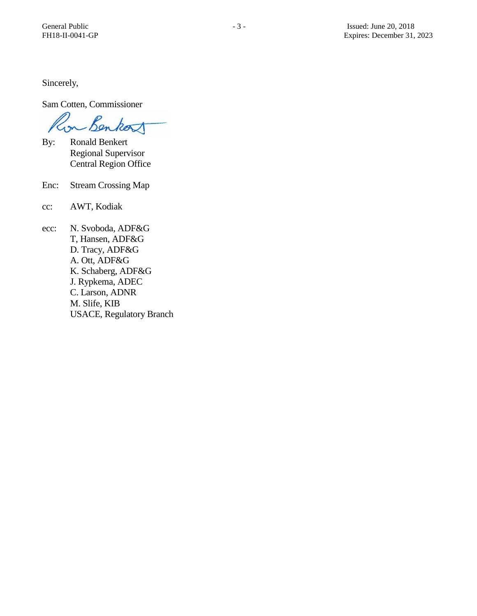Sincerely,

Sam Cotten, Commissioner

Con Benkort

- By: Ronald Benkert Regional Supervisor Central Region Office
- Enc: Stream Crossing Map
- cc: AWT, Kodiak
- ecc: N. Svoboda, ADF&G T, Hansen, ADF&G D. Tracy, ADF&G A. Ott, ADF&G K. Schaberg, ADF&G J. Rypkema, ADEC C. Larson, ADNR M. Slife, KIB USACE, Regulatory Branch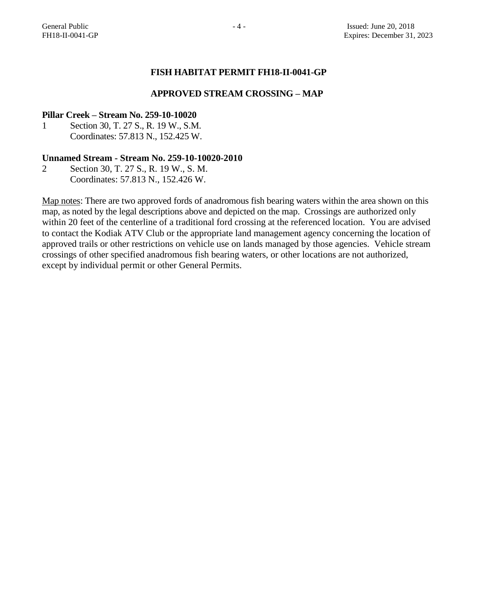# **FISH HABITAT PERMIT FH18-II-0041-GP**

#### **APPROVED STREAM CROSSING – MAP**

#### **Pillar Creek – Stream No. 259-10-10020**

1 Section 30, T. 27 S., R. 19 W., S.M. Coordinates: 57.813 N., 152.425 W.

# **Unnamed Stream - Stream No. 259-10-10020-2010**

2 Section 30, T. 27 S., R. 19 W., S. M. Coordinates: 57.813 N., 152.426 W.

Map notes: There are two approved fords of anadromous fish bearing waters within the area shown on this map, as noted by the legal descriptions above and depicted on the map. Crossings are authorized only within 20 feet of the centerline of a traditional ford crossing at the referenced location. You are advised to contact the Kodiak ATV Club or the appropriate land management agency concerning the location of approved trails or other restrictions on vehicle use on lands managed by those agencies. Vehicle stream crossings of other specified anadromous fish bearing waters, or other locations are not authorized, except by individual permit or other General Permits.